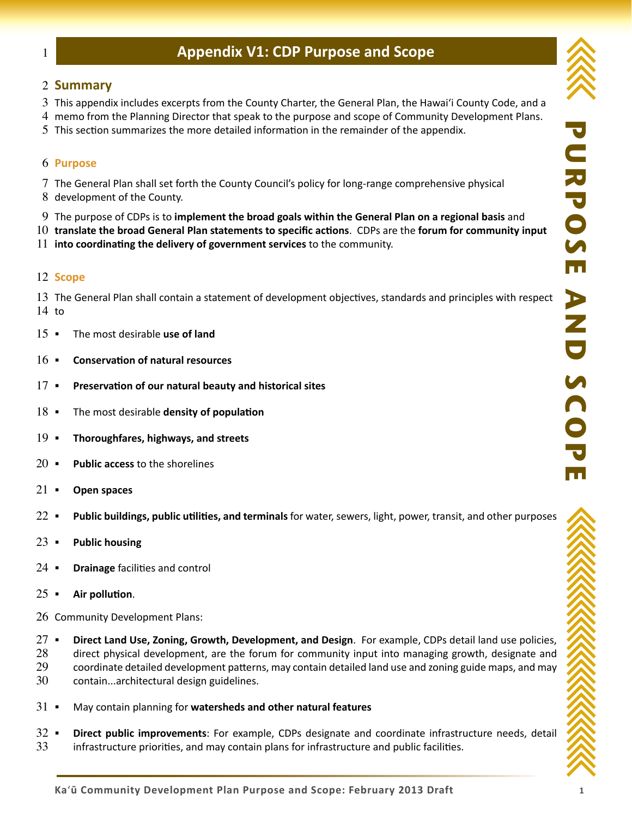# **Appendix V1: CDP Purpose and Scope**

### 2 **Summary**

1

- $3$  This appendix includes excerpts from the County Charter, the General Plan, the Hawai'i County Code, and a
- memo from the Planning Director that speak to the purpose and scope of Community Development Plans. 4
- 5 This section summarizes the more detailed information in the remainder of the appendix.

#### **Purpose** 6

- The General Plan shall set forth the County Council's policy for long-range comprehensive physical 7
- 8 development of the County.
- The purpose of CDPs is to **implement the broad goals within the General Plan on a regional basis** and 9
- **translate the broad General Plan statements to specific actions**. CDPs are the **forum for community input**  10
- 11 into coordinating the delivery of government services to the community.

#### 12 Scope

13 The General Plan shall contain a statement of development objectives, standards and principles with respect  $14$  to

- The most desirable **use of land**  $15 -$
- **Conservation of natural resources**  $16 -$
- **Preservation of our natural beauty and historical sites**  $17 -$
- The most desirable **density of population**  $18 -$
- **Thoroughfares, highways, and streets**  $19 -$
- **Public access** to the shorelines  $20 -$
- **Open spaces**  $21 -$
- **Public buildings, public utilities, and terminals** for water, sewers, light, power, transit, and other purposes  $22 -$
- **Public housing**  $23 -$
- **Drainage** facilities and control  $24 -$
- **Air pollution**.  $25 -$
- 26 Community Development Plans:

 **Direct Land Use, Zoning, Growth, Development, and Design**. For example, CDPs detail land use policies,  $27 -$ 

- direct physical development, are the forum for community input into managing growth, designate and 28
- coordinate detailed development patterns, may contain detailed land use and zoning guide maps, and may 29
- contain...architectural design guidelines. 30
- May contain planning for **watersheds and other natural features**  $31 -$
- **Direct public improvements**: For example, CDPs designate and coordinate infrastructure needs, detail infrastructure priorities, and may contain plans for infrastructure and public facilities.  $32 -$ 33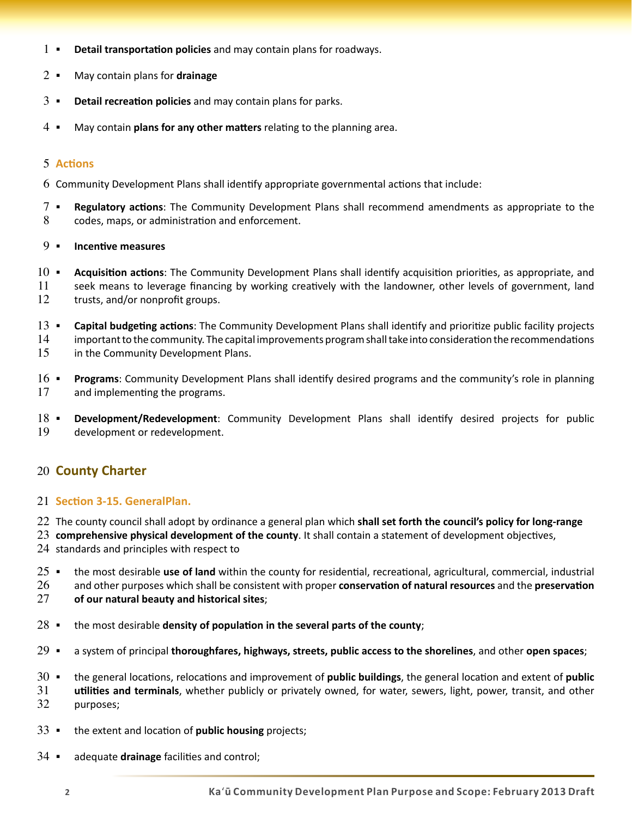- **Detail transportation policies** and may contain plans for roadways. 1
- May contain plans for **drainage**  $2 -$
- **Detail recreation policies** and may contain plans for parks.  $3 -$
- May contain **plans for any other matters** relating to the planning area.  $4 -$

#### **Actions** 5

- $6$  Community Development Plans shall identify appropriate governmental actions that include:
- **Regulatory actions**: The Community Development Plans shall recommend amendments as appropriate to the codes, maps, or administration and enforcement. 7 8

#### **Incentive measures** 9.

- **Acquisition actions**: The Community Development Plans shall identify acquisition priorities, as appropriate, and  $10 -$
- seek means to leverage financing by working creatively with the landowner, other levels of government, land trusts, and/or nonprofit groups. 11 12
- **Capital budgeting actions**: The Community Development Plans shall identify and prioritize public facility projects  $13 -$
- important to the community. The capital improvements program shall take into consideration the recommendations 14
- in the Community Development Plans. 15
- **Programs**: Community Development Plans shall identify desired programs and the community's role in planning and implementing the programs.  $16$   $\blacksquare$ 17
- **Development/Redevelopment**: Community Development Plans shall identify desired projects for public development or redevelopment.  $18 -$ 19

# 20 **County Charter**

#### **Section 3-15. GeneralPlan.** 21

- The county council shall adopt by ordinance a general plan which **shall set forth the council's policy for long-range**  22
- **comprehensive physical development of the county**. It shall contain a statement of development objectives, 23

 $24$  standards and principles with respect to

- the most desirable **use of land** within the county for residential, recreational, agricultural, commercial, industrial  $25 -$
- and other purposes which shall be consistent with proper **conservation of natural resources** and the **preservation**  26
- **of our natural beauty and historical sites**; 27
- the most desirable **density of population in the several parts of the county**;  $28 -$
- a system of principal **thoroughfares, highways, streets, public access to the shorelines**, and other **open spaces**;  $29 -$
- the general locations, relocations and improvement of **public buildings**, the general location and extent of **public**   $30 -$
- **utilities and terminals**, whether publicly or privately owned, for water, sewers, light, power, transit, and other purposes; 31 32
- the extent and location of **public housing** projects;  $33 -$
- adequate **drainage** facilities and control;  $34 -$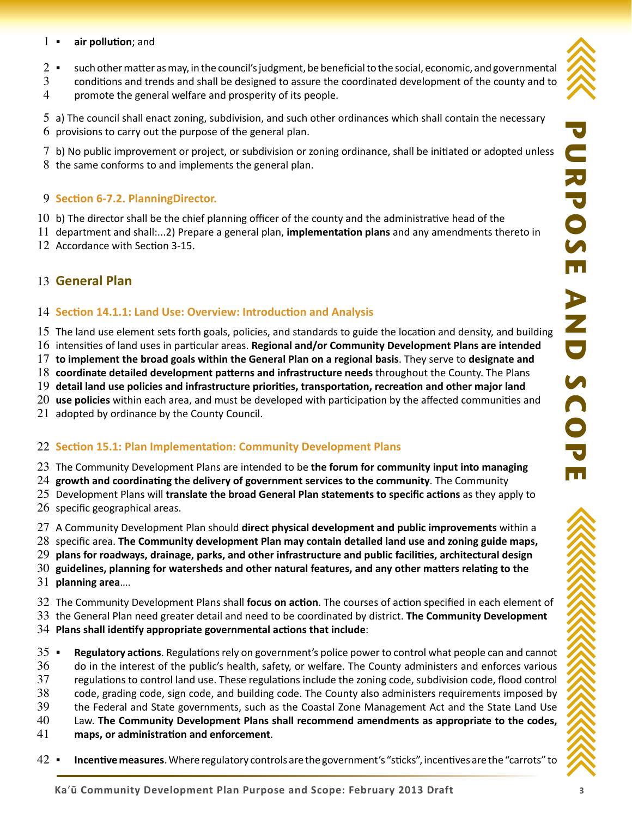- **air pollution**; and  $1 -$
- such other matter as may, in the council's judgment, be beneficial to the social, economic, and governmental  $2 -$
- conditions and trends and shall be designed to assure the coordinated development of the county and to promote the general welfare and prosperity of its people. 3 4

5 a) The council shall enact zoning, subdivision, and such other ordinances which shall contain the necessary  $6$  provisions to carry out the purpose of the general plan.

b) No public improvement or project, or subdivision or zoning ordinance, shall be initiated or adopted unless 7  $8$  the same conforms to and implements the general plan.

## **Section 6-7.2. PlanningDirector.** 9

- $10$  b) The director shall be the chief planning officer of the county and the administrative head of the
- 11 department and shall:...2) Prepare a general plan, **implementation plans** and any amendments thereto in
- 12 Accordance with Section 3-15.

# **General Plan** 13

### **Section 14.1.1: Land Use: Overview: Introduction and Analysis** 14

- 15 The land use element sets forth goals, policies, and standards to guide the location and density, and building
- 16 intensities of land uses in particular areas. Regional and/or Community Development Plans are intended
- **to implement the broad goals within the General Plan on a regional basis**. They serve to **designate and**  17
- **coordinate detailed development patterns and infrastructure needs** throughout the County. The Plans 18
- **detail land use policies and infrastructure priorities, transportation, recreation and other major land**  19
- **use policies** within each area, and must be developed with participation by the affected communities and 20
- $21$  adopted by ordinance by the County Council.

# **Section 15.1: Plan Implementation: Community Development Plans** 22

- The Community Development Plans are intended to be **the forum for community input into managing**  23
- **growth and coordinating the delivery of government services to the community**. The Community 24
- Development Plans will **translate the broad General Plan statements to specific actions** as they apply to 25
- $26$  specific geographical areas.
- A Community Development Plan should **direct physical development and public improvements** within a 27
- 28 specific area. The Community development Plan may contain detailed land use and zoning guide maps,
- **plans for roadways, drainage, parks, and other infrastructure and public facilities, architectural design**  29
- **guidelines, planning for watersheds and other natural features, and any other matters relating to the**  30
- **planning area**…. 31
- The Community Development Plans shall **focus on action**. The courses of action specified in each element of 32
- the General Plan need greater detail and need to be coordinated by district. **The Community Development**  33
- **Plans shall identify appropriate governmental actions that include**: 34
- **Regulatory actions**. Regulations rely on government's police power to control what people can and cannot  $35 -$
- do in the interest of the public's health, safety, or welfare. The County administers and enforces various 36
- regulations to control land use. These regulations include the zoning code, subdivision code, flood control 37
- code, grading code, sign code, and building code. The County also administers requirements imposed by 38
- the Federal and State governments, such as the Coastal Zone Management Act and the State Land Use 39
- Law. **The Community Development Plans shall recommend amendments as appropriate to the codes,**  40
- **maps, or administration and enforcement**. 41
- **Incentive measures**. Where regulatory controls are the government's "sticks", incentives are the "carrots" to  $42 -$

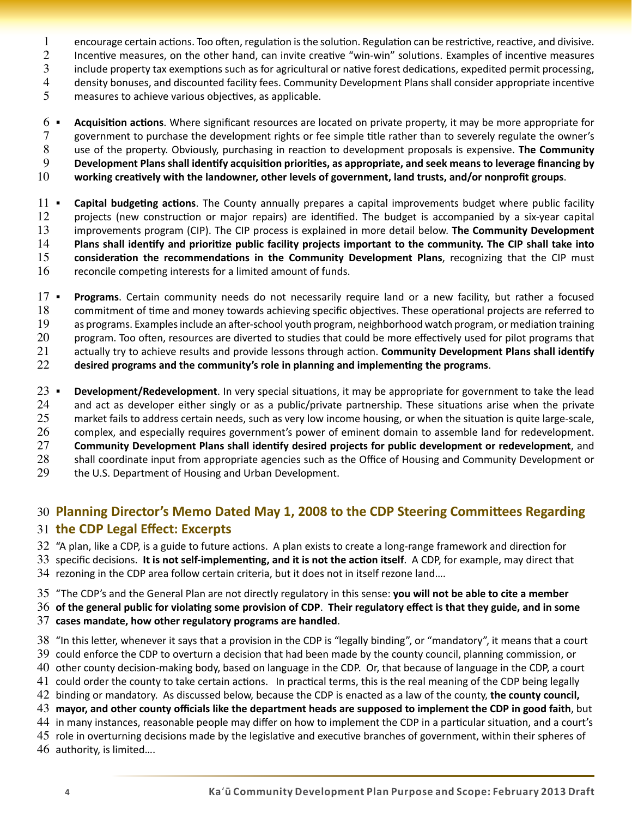- encourage certain actions. Too often, regulation is the solution. Regulation can be restrictive, reactive, and divisive. 1
- Incentive measures, on the other hand, can invite creative "win-win" solutions. Examples of incentive measures 2
- include property tax exemptions such as for agricultural or native forest dedications, expedited permit processing, 3
- density bonuses, and discounted facility fees. Community Development Plans shall consider appropriate incentive 4
- measures to achieve various objectives, as applicable. 5
- **Acquisition actions**. Where significant resources are located on private property, it may be more appropriate for government to purchase the development rights or fee simple title rather than to severely regulate the owner's use of the property. Obviously, purchasing in reaction to development proposals is expensive. **The Community Development Plans shall identify acquisition priorities, as appropriate, and seek means to leverage financing by**  6 7 8 9
- **working creatively with the landowner, other levels of government, land trusts, and/or nonprofit groups**. 10
- **Capital budgeting actions**. The County annually prepares a capital improvements budget where public facility projects (new construction or major repairs) are identified. The budget is accompanied by a six-year capital improvements program (CIP). The CIP process is explained in more detail below. **The Community Development Plans shall identify and prioritize public facility projects important to the community. The CIP shall take into consideration the recommendations in the Community Development Plans**, recognizing that the CIP must reconcile competing interests for a limited amount of funds.  $11 -$ 12 13 14 15 16
- **Programs**. Certain community needs do not necessarily require land or a new facility, but rather a focused commitment of time and money towards achieving specific objectives. These operational projects are referred to as programs. Examples include an after-school youth program, neighborhood watch program, or mediation training program. Too often, resources are diverted to studies that could be more effectively used for pilot programs that actually try to achieve results and provide lessons through action. **Community Development Plans shall identify**   $17 -$ 18 19 20 21
- **desired programs and the community's role in planning and implementing the programs**. 22
- **Development/Redevelopment**. In very special situations, it may be appropriate for government to take the lead and act as developer either singly or as a public/private partnership. These situations arise when the private market fails to address certain needs, such as very low income housing, or when the situation is quite large-scale, complex, and especially requires government's power of eminent domain to assemble land for redevelopment. **Community Development Plans shall identify desired projects for public development or redevelopment**, and shall coordinate input from appropriate agencies such as the Office of Housing and Community Development or the U.S. Department of Housing and Urban Development.  $23 -$ 24 25 26 27 28 29

# **Planning Director's Memo Dated May 1, 2008 to the CDP Steering Committees Regarding**  30 **the CDP Legal Effect: Excerpts** 31

32  $\degree$ A plan, like a CDP, is a guide to future actions. A plan exists to create a long-range framework and direction for

33 specific decisions. It is not self-implementing, and it is not the action itself. A CDP, for example, may direct that 34 rezoning in the CDP area follow certain criteria, but it does not in itself rezone land....

"The CDP's and the General Plan are not directly regulatory in this sense: **you will not be able to cite a member**  35

**of the general public for violating some provision of CDP**. **Their regulatory effect is that they guide, and in some**  36 **cases mandate, how other regulatory programs are handled**. 37

38 "In this letter, whenever it says that a provision in the CDP is "legally binding", or "mandatory", it means that a court 39 could enforce the CDP to overturn a decision that had been made by the county council, planning commission, or 40 other county decision-making body, based on language in the CDP. Or, that because of language in the CDP, a court  $41$  could order the county to take certain actions. In practical terms, this is the real meaning of the CDP being legally binding or mandatory. As discussed below, because the CDP is enacted as a law of the county, **the county council,**  42 **mayor, and other county officials like the department heads are supposed to implement the CDP in good faith**, but 43

44 in many instances, reasonable people may differ on how to implement the CDP in a particular situation, and a court's

 $45$  role in overturning decisions made by the legislative and executive branches of government, within their spheres of

 $46$  authority, is limited....